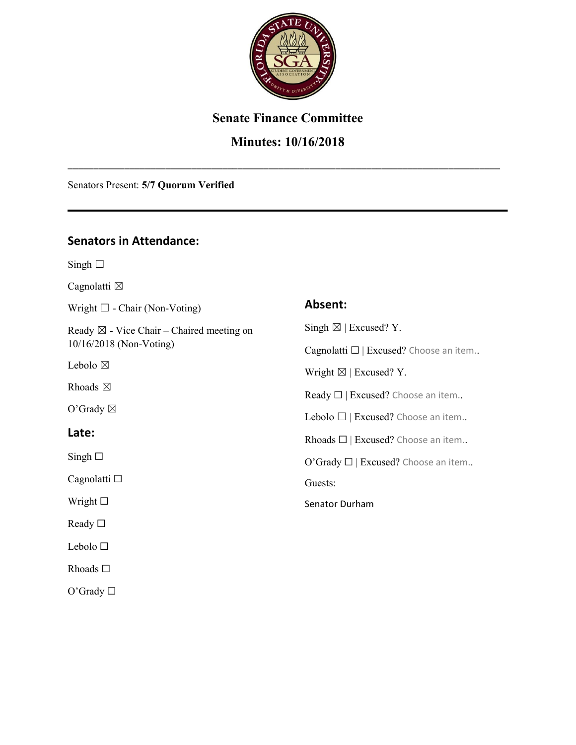

#### **Senate Finance Committee**

#### **Minutes: 10/16/2018**

\_\_\_\_\_\_\_\_\_\_\_\_\_\_\_\_\_\_\_\_\_\_\_\_\_\_\_\_\_\_\_\_\_\_\_\_\_\_\_\_\_\_\_\_\_\_\_\_\_\_\_\_\_\_\_\_\_\_\_\_\_\_\_\_\_\_\_\_\_\_\_\_\_\_\_\_\_\_\_\_\_\_\_\_

Senators Present: **5/7 Quorum Verified**

#### **Senators in Attendance:**

Singh  $\Box$ 

Cagnolatti  $\boxtimes$ 

Wright ☐ - Chair (Non-Voting)

Ready  $\boxtimes$  - Vice Chair – Chaired meeting on 10/16/2018 (Non-Voting)

Lebolo  $\boxtimes$ 

Rhoads  $\boxtimes$ 

O'Grady  $\boxtimes$ 

#### **Late:**

 $Singh$   $\square$ 

Cagnolatti □

Wright □

Ready □

Lebolo ☐

Rhoads ☐

O'Grady  $\Box$ 

| Absent:                                        |
|------------------------------------------------|
| Singh $\boxtimes$   Excused? Y.                |
| Cagnolatti $\square$   Excused? Choose an item |
| Wright $\boxtimes$   Excused? Y.               |
| Ready $\Box$   Excused? Choose an item         |
| Lebolo $\Box$   Excused? Choose an item        |
| Rhoads $\square$   Excused? Choose an item     |
| O'Grady □   Excused? Choose an item            |
| Guests:                                        |
| Senator Durham                                 |
|                                                |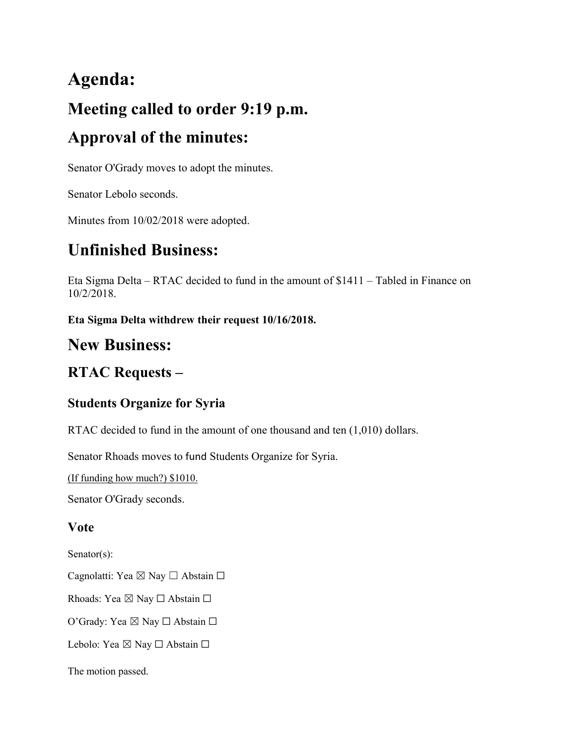# **Agenda: Meeting called to order 9:19 p.m. Approval of the minutes:**

Senator O'Grady moves to adopt the minutes.

Senator Lebolo seconds.

Minutes from 10/02/2018 were adopted.

# **Unfinished Business:**

Eta Sigma Delta – RTAC decided to fund in the amount of \$1411 – Tabled in Finance on 10/2/2018.

**Eta Sigma Delta withdrew their request 10/16/2018.**

## **New Business:**

## **RTAC Requests –**

#### **Students Organize for Syria**

RTAC decided to fund in the amount of one thousand and ten (1,010) dollars.

Senator Rhoads moves to fund Students Organize for Syria.

(If funding how much?) \$1010.

Senator O'Grady seconds.

#### **Vote**

Senator(s):

Cagnolatti: Yea ⊠ Nay □ Abstain □

Rhoads: Yea  $\boxtimes$  Nay  $\Box$  Abstain  $\Box$ 

O'Grady: Yea ⊠ Nay □ Abstain □

Lebolo: Yea ⊠ Nay □ Abstain □

The motion passed.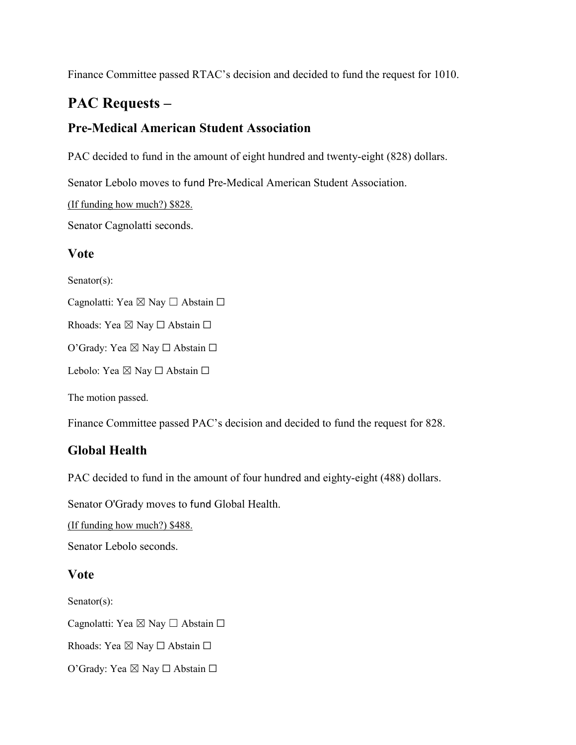Finance Committee passed RTAC's decision and decided to fund the request for 1010.

### **PAC Requests –**

#### **Pre-Medical American Student Association**

PAC decided to fund in the amount of eight hundred and twenty-eight (828) dollars.

Senator Lebolo moves to fund Pre-Medical American Student Association.

(If funding how much?) \$828.

Senator Cagnolatti seconds.

#### **Vote**

Senator(s):

Cagnolatti: Yea ⊠ Nay □ Abstain □

Rhoads: Yea ⊠ Nay □ Abstain □

O'Grady: Yea ⊠ Nay □ Abstain □

Lebolo: Yea ⊠ Nay □ Abstain □

The motion passed.

Finance Committee passed PAC's decision and decided to fund the request for 828.

#### **Global Health**

PAC decided to fund in the amount of four hundred and eighty-eight (488) dollars.

Senator O'Grady moves to fund Global Health.

(If funding how much?) \$488.

Senator Lebolo seconds.

#### **Vote**

Senator(s):

Cagnolatti: Yea ⊠ Nay □ Abstain □

Rhoads: Yea ⊠ Nay □ Abstain □

O'Grady: Yea ⊠ Nay □ Abstain □